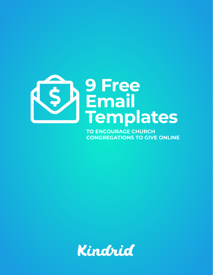

**TO ENCOURAGE CHURCH CONGREGATIONS TO GIVE ONLINE**

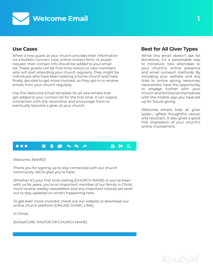

When a new guest at your church provides their information via a bulletin connect card, online contact form, or prayer request, their contact info should be added to your email list. These guests can be first-time visitors or new members who will start attending your church regularly. They might be individuals who have been seeking a home church and have finally decided to get more involved, so they opt-in to receive emails from your church regularly.

Use this Welcome Email template for all new emails that get added to your contact list for the first time. It can inspire connection with the newcomer and encourage them to eventually become a giver at your church.

### **Use Cases Best for All Giver Types**

While this email doesn't ask for donations, it's a personable way to introduce new attendees to your church's online presence and email outreach methods. By including your website and any links to online giving resources, newcomers have the opportunity to engage further with your church and familiarize themselves with the mobile app you have set up for future giving.

Welcome emails help all giver types— gifted, thoughtful, casual, and reluctant. It also gives a good first impression of your church's online involvement.

#### $\bullet\bullet\bullet$  $\blacksquare$  in the transformation of  $\blacksquare$  reply reply  $\blacksquare$

Welcome, [NAME]!

Thank you for signing up to stay connected with our church community. We're glad you're here!

Whether it's your first time visiting [CHURCH NAME] or you've been with us for years, you're an important member of our family in Christ. You'll receive weekly newsletters and any important notices we send out to stay updated on what's happening here.

To get even more involved, check out our website or download our online church platform [ONLINE GIVING LINK].

In Christ,

[SIGNATURE: PASTOR OR CHURCH NAME]

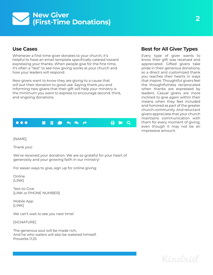### **New Giver (First-Time Donations)**  $\blacktriangledown$

### **Use Cases**

Whenever a first-time giver donates to your church, it's helpful to have an email template specifically catered toward expressing your thanks. When people give for the first time, it's often a "test" to see how giving works at your church and how your leaders will respond.

New givers want to know they are giving to a cause that will put their donation to good use. Saying thank you and informing new givers that their gift will help your ministry is the minimum you want to express to encourage second, third, and ongoing donations.

### $\bullet\bullet\bullet$  $\blacksquare$  in the transformation reply-alt folders reply-alt folders reply-alt share print flag search  $\alpha$

[NAME],

Thank you!

We've received your donation. We are so grateful for your heart of generosity and your growing faith in our ministry!

For easier ways to give, sign up for online giving:

Online [LINK]

Text-to-Give [LINK or PHONE NUMBER]

Mobile App [LINK]

We can't wait to see you next time!

[SIGNATURE]

The generous soul will be made rich, And he who waters will also be watered himself. Proverbs 11:25

## **Best for All Giver Types**

Every type of giver wants to know their gift was received and appreciated. Gifted givers take pride in their generous donations, so a direct and customized thank you reaches their hearts in ways that inspire. Thoughtful givers feel the thoughtfulness reciprocated when thanks are expressed by leaders. Casual givers are more inclined to give again within their means when they feel included and honored as part of the greater church community. And reluctant givers appreciate that your church maintains communication with them for every moment of giving, even though it may not be an impressive amount.

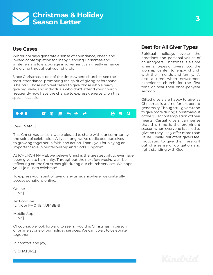### **Christmas & Holiday Season Letter**  $\blacktriangledown$

### **Use Cases**

Winter holidays generate a sense of abundance, cheer, and inward contemplation for many. Sending Christmas and winter emails to encourage involvement can greatly enhance the giving throughout your church.

Since Christmas is one of the times where churches see the most attendance, promoting the spirit of giving beforehand is helpful. Those who feel called to give, those who already give regularly, and individuals who don't attend your church frequently now have the chance to express generosity on this special occasion.



Dear [NAME],

This Christmas season, we're blessed to share with our community the spirit of celebration. All year long, we've dedicated ourselves to growing together in faith and action. Thank you for playing an important role in our fellowship and God's Kingdom.

At [CHURCH NAME], we believe Christ is the greatest gift to ever have been given to humanity. Throughout the next few weeks, we'll be reflecting on the Christmas gift during our church services. We hope you'll join us to celebrate!

To express your spirit of giving any time, anywhere, we gratefully accept donations online:

Online [LINK]

Text-to-Give [LINK or PHONE NUMBER]

Mobile App [LINK]

Of course, we look forward to seeing you this Christmas in person or online at one of our holiday services. We can't wait to celebrate together.

In comfort and joy,

[SIGNATURE]

### **Best for All Giver Types**

Spiritual holidays evoke the emotions and personal values of churchgoers. Christmas is a time when all types of givers flood the worship center to enjoy church with their friends and family. It's also a time when newcomers experience church for the first time or hear their once-per-year sermon.

Gifted givers are happy to give, as Christmas is a time for exuberant generosity. Thoughtful givers tend to give more during Christmas out of the quiet contemplation of their hearts. Casual givers can sense that this time is the prominent season when everyone is called to give, so they likely offer more than usual. Finally, reluctant givers feel motivated to give their rare gift out of a sense of obligation and right-standing with God.

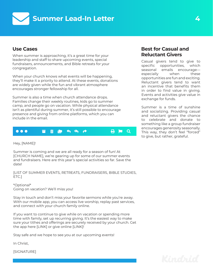



### **Use Cases**

When summer is approaching, it's a great time for your **Reluctant Givers** leadership and staff to share upcoming events, special fundraisers, announcements, and Bible retreats for your congregation.

When your church knows what events will be happening, they'll make it a priority to attend. At these events, donations are widely given while the fun and vibrant atmosphere encourages stronger fellowship for all.

Summer is also a time when church attendance drops. Families change their weekly routines, kids go to summer camp, and people go on vacation. While physical attendance isn't as plentiful during summer, it's still possible to encourage presence and giving from online platforms, which you can include in the email.



Hey, [NAME]!

Summer is coming and we are all ready for a season of fun! At [CHURCH NAME], we're gearing up for some of our summer events and fundraisers. Here are this year's special activities so far. Save the date!

[LIST OF SUMMER EVENTS, RETREATS, FUNDRAISERS, BIBLE STUDIES, ETC.]

\*Optional\* Going on vacation? We'll miss you!

Stay in touch and don't miss your favorite sermons while you're away. With our mobile app, you can access live worship, replay past services, and connect with your church family online.

If you want to continue to give while on vacation or spending more time with family, set up recurring giving. It's the easiest way to make sure your tithes and offerings are securely received by your church. Get the app here [LINK] or give online [LINK]!

Stay safe and we hope to see you at our upcoming events!

In Christ,

[SIGNATURE]

# **Best for Casual and**

Casual givers tend to give to specific opportunities, which seasonal emails encourage especially when these opportunities are fun and exciting. Reluctant givers tend to want an incentive that benefits them in order to find value in giving. Events and activities give value in exchange for funds.

Summer is a time of sunshine and socializing. Providing casual and reluctant givers the chance to celebrate and donate to something like a group fundraiser encourages generosity seasonally. This way, they don't feel "forced" to give, but rather, grateful.

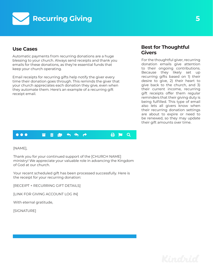

### **Use Cases**

Automatic payments from recurring donations are a huge blessing to your church. Always send receipts and thank you emails for these donations, as they're essential funds that keep your church operating.

Email receipts for recurring gifts help notify the giver every time their donation goes through. This reminds the giver that your church appreciates each donation they give, even when they automate them. Here's an example of a recurring gift receipt email.

### **Best for Thoughtful Givers**

For the thoughtful giver, recurring donation emails give attention to their ongoing contributions. Because they likely set up recurring gifts based on 1) their desire to give, 2) their heart to give back to the church, and 3) their current income, recurring gift receipts offer them regular reminders that their giving duty is being fulfilled. This type of email also lets all givers know when their recurring donation settings are about to expire or need to be renewed, so they may update their gift amounts over time.



[NAME],

Thank you for your continued support of the [CHURCH NAME] ministry! We appreciate your valuable role in advancing the Kingdom of God at our church.

Your recent scheduled gift has been processed successfully. Here is the receipt for your recurring donation:

[RECEIPT + RECURRING GIFT DETAILS]

[LINK FOR GIVING ACCOUNT LOG IN]

With eternal gratitude,

[SIGNATURE]

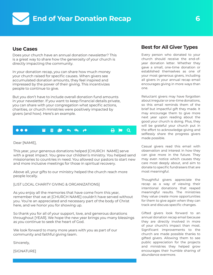

### **Use Cases**

Does your church have an annual donation newsletter? This is a great way to share how the generosity of your church is directly impacting the community.

In your donation recap, you can share how much money your church raised for specific causes. When givers see accumulated donation amounts, they feel inspired and impressed by the power of their giving. This incentivizes people to continue to give.

But you don't have to include overall donation fund amounts in your newsletter. If you want to keep financial details private, you can share with your congregation what specific actions, charities, or church ministries were positively impacted by givers (and how). Here's an example.

#### $\bullet$   $\bullet$  $\blacksquare$  in the share print flag search reply reply reply  $\blacksquare$

Dear [NAME],

This year, your generous donations helped [CHURCH NAME] serve with a great impact. You grew our children's ministry. You helped send missionaries to countries in need. You allowed our pastors to start new and more inclusive meetings for those in spiritual recovery.

Above all, your gifts to our ministry helped the church reach more people locally.

[LIST LOCAL CHARITY GIVING & ORGANIZATIONS]

As you enjoy all the memories that have come from this year, remember that we at [CHURCH NAME] couldn't have served without you. You're an appreciated and necessary part of the body of Christ here, and we honor you for showing up.

So thank you for all of your support, love, and generous donations throughout [YEAR]. We hope the new year brings you many blessings as you continue to seek the heart of God.

We look forward to many more years with you as part of our community and faithful giving team.

Sincerely,

[SIGNATURE]

### **Best for All Giver Types**

Every person who donated to your church should receive the end-ofyear donation letter. Whether they gave a small, one-time donation or established themselves as one of your most generous givers, including all givers in your annual recap email encourages giving in more ways than one.

Reluctant givers may have forgotten about irregular or one-time donations, so this email reminds them of the brief but impactful gift they made. It may encourage them to give more next year upon reading about the good your church is doing. Plus, they will be grateful your church put in the effort to acknowledge giving and selflessly share the progress givers made possible.

Casual givers read this email with observation and interest in how they can give more in the future. They may even notice which causes they care most deeply about, and aim to donate to specific fundraisers that are most meaningful.

Thoughtful givers appreciate the recap as a way of viewing their intentional donations that reaped meaningful results. The ministries they value create more opportunities for them to give again when they can track and discuss specific changes.

Gifted givers look forward to an annual donation recap email because they are directly involved in more of your church's impact than most. Significant improvements to the church are made possible thanks to gifted givers. Allowing them to see public appreciation for the projects and ministries they helped grow encourages their humble sharing of abundance evermore.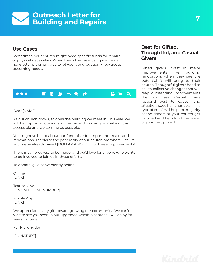### **Outreach Letter for Building and Repairs**   $\blacktriangledown$

### **Use Cases**

Sometimes, your church might need specific funds for repairs **Givers** or physical necessities. When this is the case, using your email newsletter is a smart way to let your congregation know about upcoming needs. Gifted givers invest in major



### Dear [NAME],

As our church grows, so does the building we meet in. This year, we will be improving our worship center and focusing on making it as accessible and welcoming as possible.

You might've heard about our fundraiser for important repairs and renovations. Thanks to the generosity of our church members just like you, we've already raised [DOLLAR AMOUNT] for these improvements!

There is still progress to be made, and we'd love for anyone who wants to be involved to join us in these efforts.

To donate, give conveniently online:

Online [LINK]

Text-to-Give [LINK or PHONE NUMBER]

Mobile App [LINK]

We appreciate every gift toward growing our community! We can't wait to see you soon in our upgraded worship center all will enjoy for years to come.

For His Kingdom,

[SIGNATURE]

## **Best for Gifted, Thoughtful, and Casual**

improvements like building renovations when they see the potential it will bring to their church. Thoughtful givers heed to call to collective changes that will reap outstanding improvements they can see. Casual givers respond best to cause- and situation-specific charities. This type of email will help the majority of the donors at your church get involved and help fund the vision of your next project.

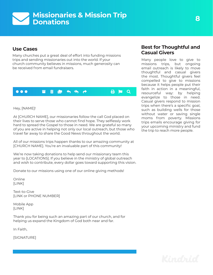### **Missionaries & Mission Trip Donations**  $\blacktriangledown$

### **Use Cases**

**Casual Givers** Many churches put a great deal of effort into funding missions trips and sending missionaries out into the world. If your church community believes in missions, much generosity can be received from email fundraisers.



### Hey, [NAME]!

At [CHURCH NAME], our missionaries follow the call God placed on their lives to serve those who cannot find hope. They selflessly work hard to spread the Gospel to those in need. We are grateful so many of you are active in helping not only our local outreach, but those who travel far away to share the Good News throughout the world.

All of our missions trips happen thanks to our amazing community at [CHURCH NAME]. You're an invaluable part of this community!

We're now taking donations to help send our missionary team this year to [LOCATIONS]. If you believe in the ministry of global outreach and wish to contribute, every dollar goes toward supporting this vision.

Donate to our missions using one of our online giving methods!

Online [LINK]

Text-to-Give [LINK or PHONE NUMBER]

Mobile App [LINK]

Thank you for being such an amazing part of our church, and for helping us expand the Kingdom of God both near and far.

In Faith,

[SIGNATURE]

# **Best for Thoughtful and**

Many people love to give to missions trips, but ongoing email outreach is likely to move thoughtful and casual givers the most. Thoughtful givers feel compelled to give to missions because it helps people put their faith in action in a meaningful, resourceful way: by helping evangelize to those in need. Casual givers respond to mission trips when there's a specific goal, such as building wells for those without water or saving single moms from poverty. Missions trips emails encourage giving for your upcoming ministry and fund the trip to reach more people.

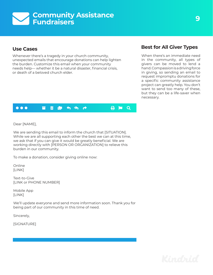### **Community Assistance Fundraisers**  $\blacktriangledown$

### **Use Cases**

Whenever there's a tragedy in your church community, unexpected emails that encourage donations can help lighten the burden. Customize this email when your community needs help— whether it be a natural disaster, financial crisis, or death of a beloved church elder.

## **Best for All Giver Types**

When there's an immediate need in the community, all types of givers can be moved to lend a hand. Compassion is a driving force in giving, so sending an email to request impromptu donations for a specific community assistance project can greatly help. You don't want to send too many of these, but they can be a life-saver when necessary.

#### $\bullet$   $\bullet$   $\bullet$  $\blacksquare$  in the share print flag search reply reply reply  $\Theta$  in  $\Theta$

Dear [NAME],

We are sending this email to inform the church that [SITUATION]. While we are all supporting each other the best we can at this time, we ask that if you can give it would be greatly beneficial. We are working directly with [PERSON OR ORGANIZATION] to relieve this burden in our community.

To make a donation, consider giving online now:

Online [LINK]

Text-to-Give [LINK or PHONE NUMBER]

Mobile App [LINK]

We'll update everyone and send more information soon. Thank you for being part of our community in this time of need.

Sincerely,

[SIGNATURE]